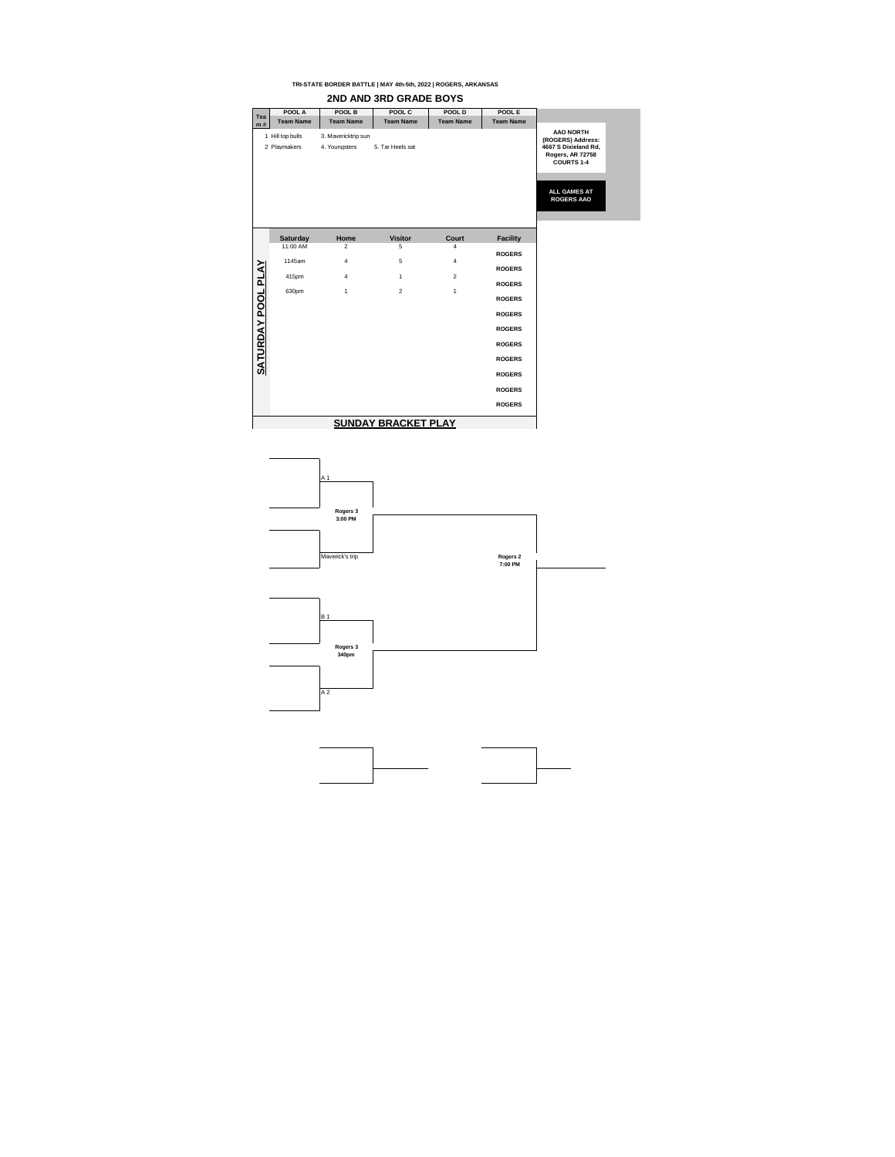|                           |                                  | TRI-STATE BORDER BATTLE   MAY 4th-5th, 2022   ROGERS, ARKANSAS |                        |                  |                                |                                                                                                                                                    |
|---------------------------|----------------------------------|----------------------------------------------------------------|------------------------|------------------|--------------------------------|----------------------------------------------------------------------------------------------------------------------------------------------------|
|                           |                                  |                                                                | 2ND AND 3RD GRADE BOYS |                  |                                |                                                                                                                                                    |
| Tea                       | POOL A                           | POOL B                                                         | POOL C                 | POOL D           | POOL E                         |                                                                                                                                                    |
| m#                        | <b>Team Name</b>                 | <b>Team Name</b>                                               | <b>Team Name</b>       | <b>Team Name</b> | <b>Team Name</b>               |                                                                                                                                                    |
|                           | 1 Hill top bulls<br>2 Playmakers | 3. Mavericktrip sun<br>4. Youngsters                           | 5. Tar Heels sat       |                  |                                | <b>AAO NORTH</b><br>(ROGERS) Address:<br>4667 S Dixieland Rd,<br><b>Rogers, AR 72758</b><br><b>COURTS 1-4</b><br>ALL GAMES AT<br><b>ROGERS AAO</b> |
|                           | <b>Saturday</b><br>11:00 AM      | Home<br>$\overline{2}$                                         | <b>Visitor</b><br>5    | Court<br>4       | <b>Facility</b>                |                                                                                                                                                    |
|                           | 1145am                           | $\overline{4}$                                                 | 5                      | 4                | <b>ROGERS</b>                  |                                                                                                                                                    |
|                           | 415pm                            | $\overline{4}$                                                 | $\overline{1}$         | $\overline{2}$   | <b>ROGERS</b><br><b>ROGERS</b> |                                                                                                                                                    |
|                           | 630pm                            | $\ddot{\phantom{1}}$                                           | $\overline{2}$         | $\mathbf{1}$     | <b>ROGERS</b>                  |                                                                                                                                                    |
| <b>SATURDAY POOL PLAY</b> |                                  |                                                                |                        |                  | <b>ROGERS</b>                  |                                                                                                                                                    |
|                           |                                  |                                                                |                        |                  | <b>ROGERS</b>                  |                                                                                                                                                    |
|                           |                                  |                                                                |                        |                  | <b>ROGERS</b>                  |                                                                                                                                                    |
|                           |                                  |                                                                |                        |                  | <b>ROGERS</b>                  |                                                                                                                                                    |
|                           |                                  |                                                                |                        |                  | <b>ROGERS</b>                  |                                                                                                                                                    |
|                           |                                  |                                                                |                        |                  | <b>ROGERS</b>                  |                                                                                                                                                    |
|                           |                                  |                                                                |                        |                  | <b>ROGERS</b>                  |                                                                                                                                                    |
|                           |                                  |                                                                | SUNDAY BRACKET PLAY    |                  |                                |                                                                                                                                                    |

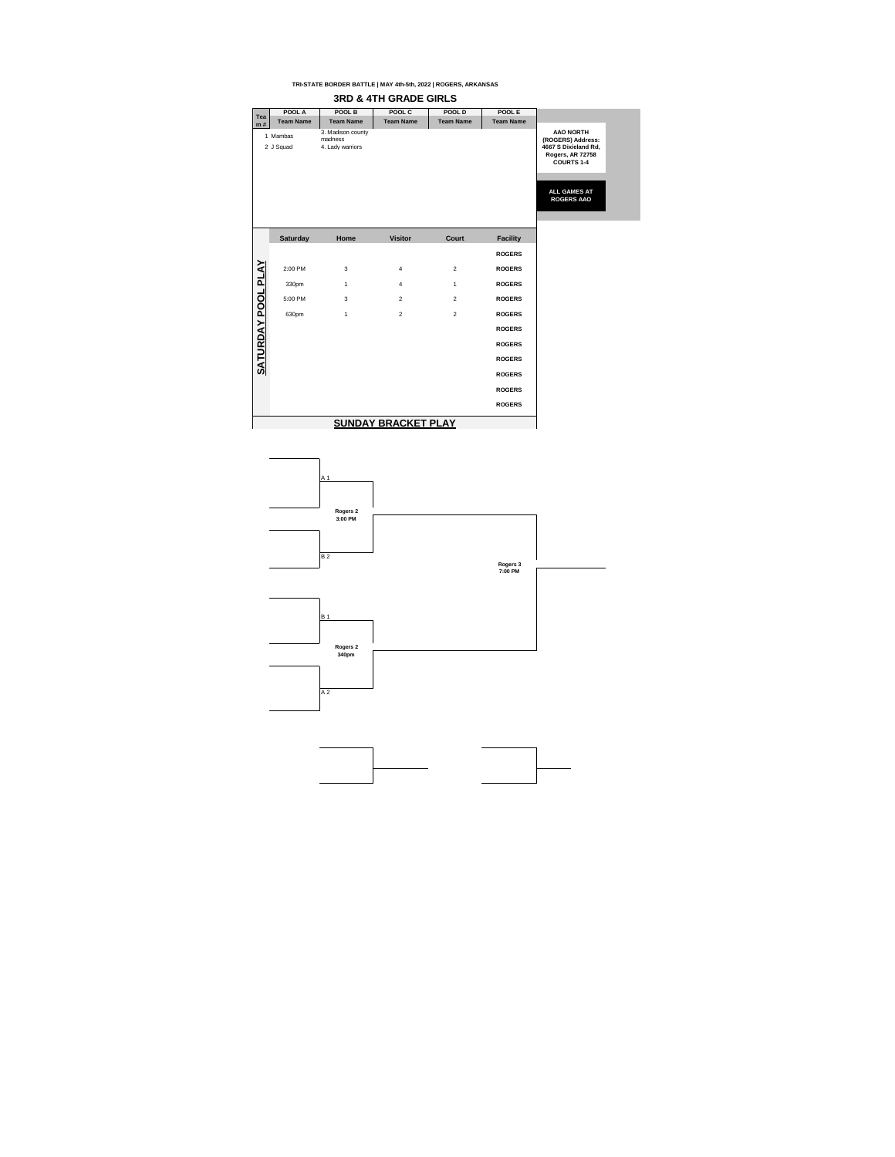|                    |                       | TRI-STATE BORDER BATTLE   MAY 4th-5th, 2022   ROGERS, ARKANSAS |                                  |                  |                  |                                                                                                                                                    |  |
|--------------------|-----------------------|----------------------------------------------------------------|----------------------------------|------------------|------------------|----------------------------------------------------------------------------------------------------------------------------------------------------|--|
|                    |                       |                                                                | <b>3RD &amp; 4TH GRADE GIRLS</b> |                  |                  |                                                                                                                                                    |  |
| Tea                | POOL A                | POOL B                                                         | POOL C                           | POOL D           | POOL E           |                                                                                                                                                    |  |
| m#                 | <b>Team Name</b>      | <b>Team Name</b>                                               | <b>Team Name</b>                 | <b>Team Name</b> | <b>Team Name</b> |                                                                                                                                                    |  |
|                    | 1 Mambas<br>2 J Squad | 3. Madison county<br>madness<br>4. Lady warriors               |                                  |                  |                  | <b>AAO NORTH</b><br>(ROGERS) Address:<br>4667 S Dixieland Rd,<br><b>Rogers, AR 72758</b><br><b>COURTS 1-4</b><br>ALL GAMES AT<br><b>ROGERS AAO</b> |  |
|                    | <b>Saturday</b>       | Home                                                           | <b>Visitor</b>                   | Court            | <b>Facility</b>  |                                                                                                                                                    |  |
|                    |                       |                                                                |                                  |                  | <b>ROGERS</b>    |                                                                                                                                                    |  |
| SATURDAY POOL PLAY | 2:00 PM               | 3                                                              | 4                                | $\overline{2}$   | <b>ROGERS</b>    |                                                                                                                                                    |  |
|                    | 330pm                 | 1                                                              | $\overline{4}$                   | $\mathbf{1}$     | <b>ROGERS</b>    |                                                                                                                                                    |  |
|                    | 5:00 PM               | 3                                                              | $\overline{2}$                   | $\overline{2}$   | <b>ROGERS</b>    |                                                                                                                                                    |  |
|                    | 630pm                 | 1                                                              | $\overline{2}$                   | $\overline{2}$   | <b>ROGERS</b>    |                                                                                                                                                    |  |
|                    |                       |                                                                |                                  |                  | <b>ROGERS</b>    |                                                                                                                                                    |  |
|                    |                       |                                                                |                                  |                  | <b>ROGERS</b>    |                                                                                                                                                    |  |
|                    |                       |                                                                |                                  |                  | <b>ROGERS</b>    |                                                                                                                                                    |  |
|                    |                       |                                                                |                                  |                  | <b>ROGERS</b>    |                                                                                                                                                    |  |
|                    |                       |                                                                |                                  |                  | <b>ROGERS</b>    |                                                                                                                                                    |  |
|                    |                       |                                                                |                                  |                  | <b>ROGERS</b>    |                                                                                                                                                    |  |
|                    |                       |                                                                | <b>SUNDAY BRACKET PLAY</b>       |                  |                  |                                                                                                                                                    |  |

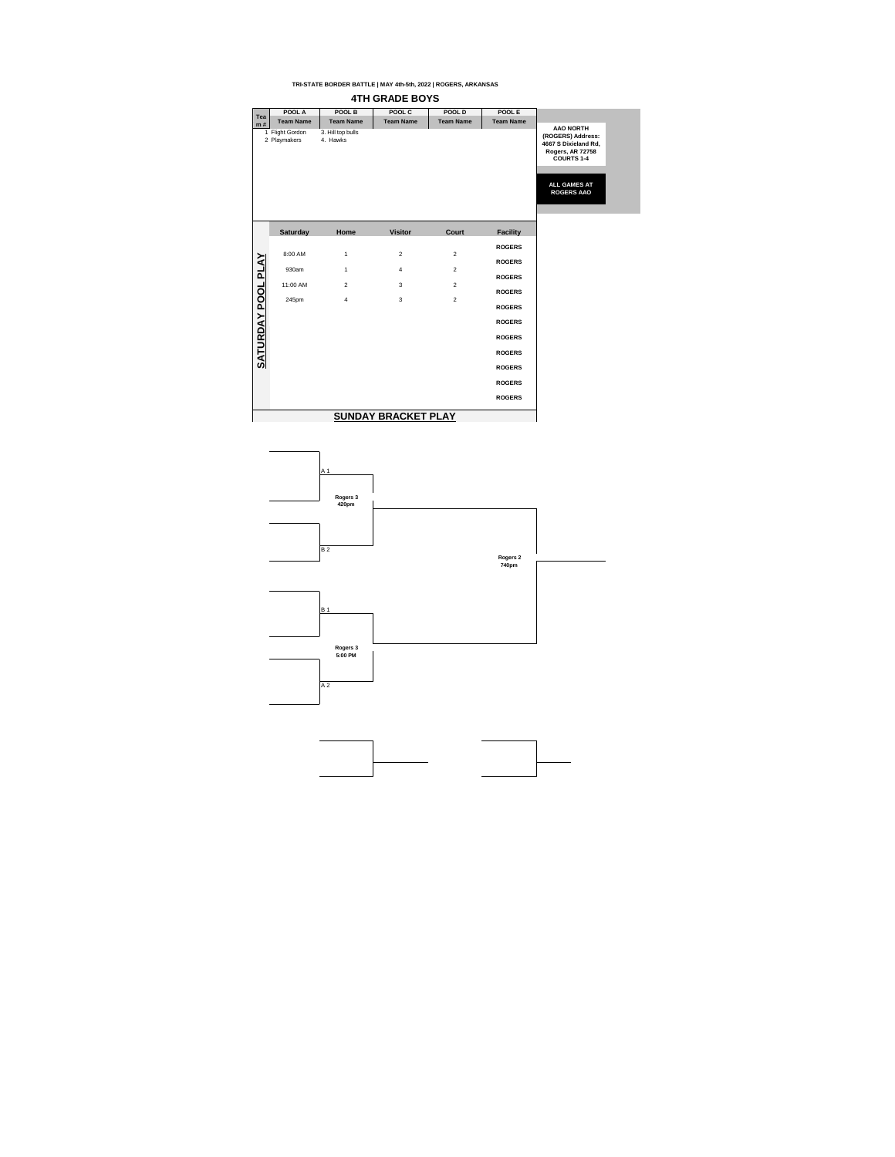**TRI-STATE BORDER BATTLE | MAY 4th-5th, 2022 | ROGERS, ARKANSAS 4TH GRADE BOYS**

|                           | POOL A                          | POOL B                        | POOL C                     | POOL D           | POOL E           |                                                                                                                                                    |
|---------------------------|---------------------------------|-------------------------------|----------------------------|------------------|------------------|----------------------------------------------------------------------------------------------------------------------------------------------------|
| Tea                       | <b>Team Name</b>                | <b>Team Name</b>              | <b>Team Name</b>           | <b>Team Name</b> | <b>Team Name</b> |                                                                                                                                                    |
| m#                        | 1 Flight Gordon<br>2 Plavmakers | 3. Hill top bulls<br>4. Hawks |                            |                  |                  | <b>AAO NORTH</b><br>(ROGERS) Address:<br>4667 S Dixieland Rd.<br><b>Rogers, AR 72758</b><br><b>COURTS 1-4</b><br>ALL GAMES AT<br><b>ROGERS AAO</b> |
|                           | <b>Saturday</b>                 | Home                          | <b>Visitor</b>             | Court            | <b>Facility</b>  |                                                                                                                                                    |
|                           |                                 |                               |                            |                  | <b>ROGERS</b>    |                                                                                                                                                    |
|                           | 8:00 AM                         | 1                             | $\overline{2}$             | $\overline{2}$   | <b>ROGERS</b>    |                                                                                                                                                    |
|                           | 930am                           | $\mathbf{1}$                  | $\overline{4}$             | $\boldsymbol{2}$ | <b>ROGERS</b>    |                                                                                                                                                    |
|                           | 11:00 AM                        | $\overline{2}$                | 3                          | $\overline{2}$   |                  |                                                                                                                                                    |
|                           | 245pm                           | $\overline{4}$                | 3                          | $\overline{2}$   | <b>ROGERS</b>    |                                                                                                                                                    |
|                           |                                 |                               |                            |                  | <b>ROGERS</b>    |                                                                                                                                                    |
| <b>SATURDAY POOL PLAY</b> |                                 |                               |                            |                  | <b>ROGERS</b>    |                                                                                                                                                    |
|                           |                                 |                               |                            |                  | <b>ROGERS</b>    |                                                                                                                                                    |
|                           |                                 |                               |                            |                  | <b>ROGERS</b>    |                                                                                                                                                    |
|                           |                                 |                               |                            |                  |                  |                                                                                                                                                    |
|                           |                                 |                               |                            |                  | <b>ROGERS</b>    |                                                                                                                                                    |
|                           |                                 |                               |                            |                  | <b>ROGERS</b>    |                                                                                                                                                    |
|                           |                                 |                               |                            |                  | <b>ROGERS</b>    |                                                                                                                                                    |
|                           |                                 |                               | <b>SUNDAY BRACKET PLAY</b> |                  |                  |                                                                                                                                                    |



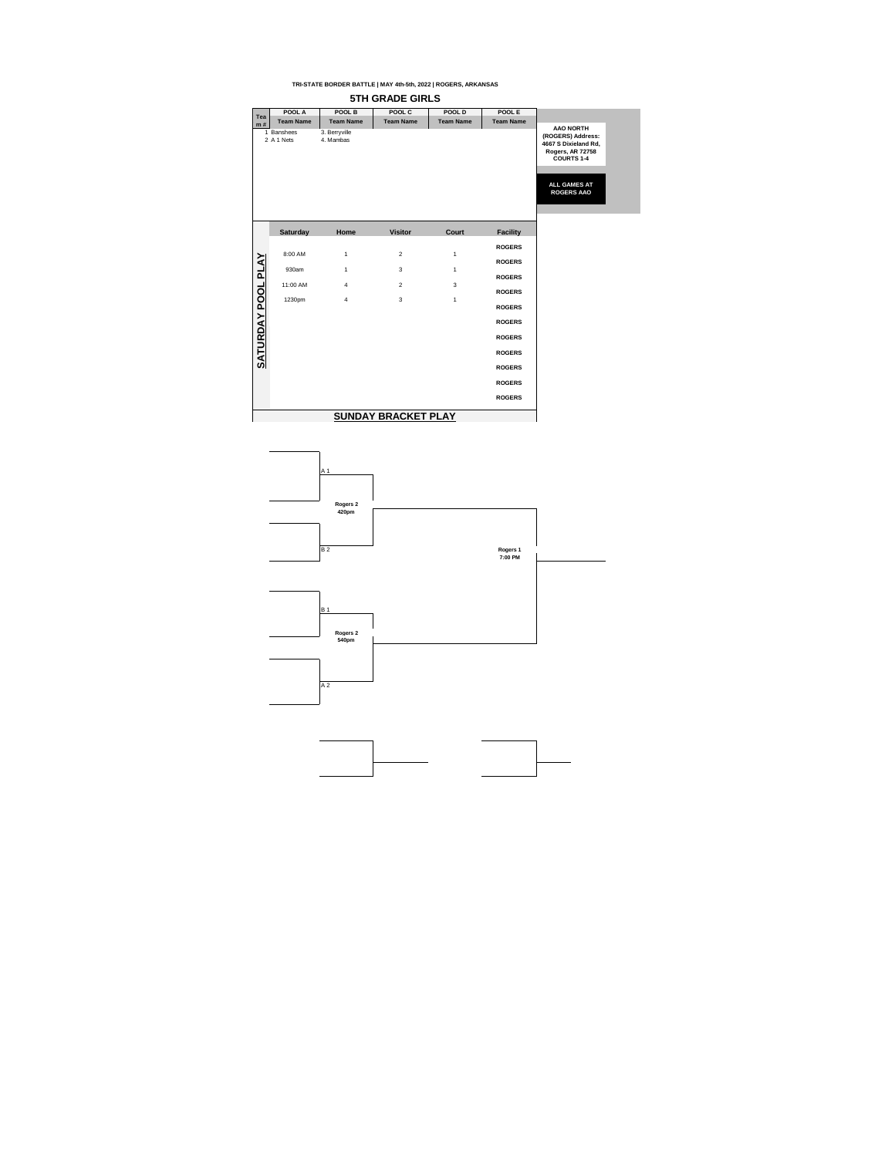**TRI-STATE BORDER BATTLE | MAY 4th-5th, 2022 | ROGERS, ARKANSAS 5TH GRADE GIRLS**

| Tea                | POOL A                   | POOL B                     | POOL C                     | POOL D           | POOL E           |                                                                                                                               |
|--------------------|--------------------------|----------------------------|----------------------------|------------------|------------------|-------------------------------------------------------------------------------------------------------------------------------|
| m#                 | <b>Team Name</b>         | <b>Team Name</b>           | <b>Team Name</b>           | <b>Team Name</b> | <b>Team Name</b> |                                                                                                                               |
|                    | 1 Banshees<br>2 A 1 Nets | 3. Berrvville<br>4. Mambas |                            |                  |                  | <b>AAO NORTH</b><br>(ROGERS) Address:<br>4667 S Dixieland Rd,<br><b>Rogers, AR 72758</b><br><b>COURTS 1-4</b><br>ALL GAMES AT |
|                    | Saturday                 | Home                       | <b>Visitor</b>             | Court            | <b>Facility</b>  | <b>ROGERS AAO</b>                                                                                                             |
|                    |                          |                            |                            |                  | <b>ROGERS</b>    |                                                                                                                               |
|                    | 8:00 AM                  | 1                          | $\overline{2}$             | $\mathbf{1}$     | <b>ROGERS</b>    |                                                                                                                               |
|                    | 930am                    | $\mathbf{1}$               | 3                          | $\mathbf{1}$     |                  |                                                                                                                               |
|                    | 11:00 AM                 | $\overline{4}$             | $\overline{a}$             | 3                | <b>ROGERS</b>    |                                                                                                                               |
|                    | 1230pm                   | $\overline{4}$             | 3                          | 1                | <b>ROGERS</b>    |                                                                                                                               |
|                    |                          |                            |                            |                  | <b>ROGERS</b>    |                                                                                                                               |
|                    |                          |                            |                            |                  | <b>ROGERS</b>    |                                                                                                                               |
|                    |                          |                            |                            |                  | <b>ROGERS</b>    |                                                                                                                               |
| SATURDAY POOL PLAY |                          |                            |                            |                  | <b>ROGERS</b>    |                                                                                                                               |
|                    |                          |                            |                            |                  | <b>ROGERS</b>    |                                                                                                                               |
|                    |                          |                            |                            |                  | <b>ROGERS</b>    |                                                                                                                               |
|                    |                          |                            |                            |                  | <b>ROGERS</b>    |                                                                                                                               |
|                    |                          |                            | <b>SUNDAY BRACKET PLAY</b> |                  |                  |                                                                                                                               |

A 1 **Rogers 2 420pm** B 2 **Rogers 1 7:00 PM**  $B$ **Rogers 2 540pm** A 2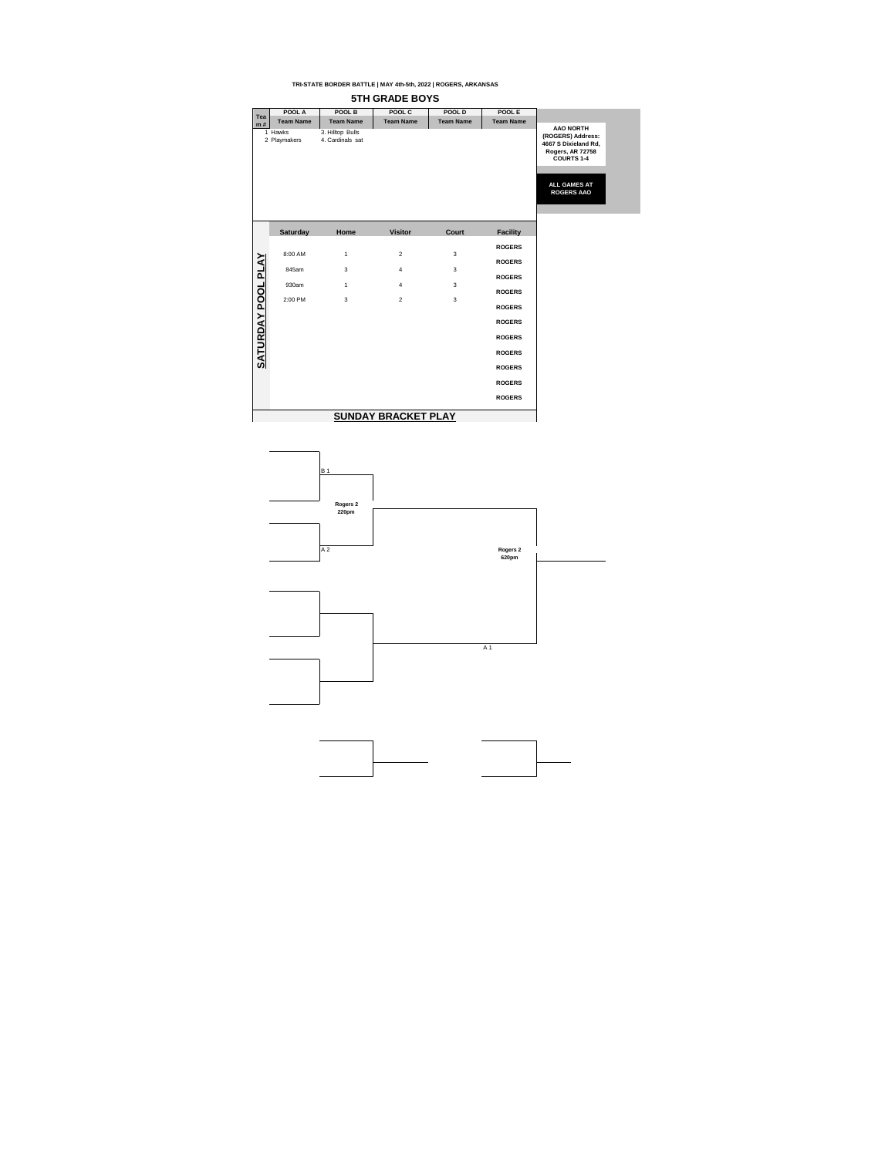**TRI-STATE BORDER BATTLE | MAY 4th-5th, 2022 | ROGERS, ARKANSAS 5TH GRADE BOYS**

| Tea                | POOL A                  | POOL B                               | POOL C                     | POOL D           | POOL E           |                                                                                                               |
|--------------------|-------------------------|--------------------------------------|----------------------------|------------------|------------------|---------------------------------------------------------------------------------------------------------------|
| m#                 | <b>Team Name</b>        | <b>Team Name</b>                     | <b>Team Name</b>           | <b>Team Name</b> | <b>Team Name</b> |                                                                                                               |
|                    | 1 Hawks<br>2 Plavmakers | 3. Hilltop Bulls<br>4. Cardinals sat |                            |                  |                  | <b>AAO NORTH</b><br>(ROGERS) Address:<br>4667 S Dixieland Rd,<br><b>Rogers, AR 72758</b><br><b>COURTS 1-4</b> |
|                    |                         |                                      |                            |                  |                  | ALL GAMES AT<br><b>ROGERS AAO</b>                                                                             |
|                    | Saturday                | Home                                 | <b>Visitor</b>             | Court            | <b>Facility</b>  |                                                                                                               |
|                    |                         |                                      |                            |                  | <b>ROGERS</b>    |                                                                                                               |
|                    | 8:00 AM                 | 1                                    | $\overline{2}$             | 3                | <b>ROGERS</b>    |                                                                                                               |
|                    | 845am                   | 3                                    | $\overline{4}$             | 3                |                  |                                                                                                               |
|                    | 930am                   | 1                                    | $\overline{4}$             | 3                | <b>ROGERS</b>    |                                                                                                               |
|                    |                         |                                      |                            |                  | <b>ROGERS</b>    |                                                                                                               |
| SATURDAY POOL PLAY | 2:00 PM                 | 3                                    | $\overline{2}$             | 3                | <b>ROGERS</b>    |                                                                                                               |
|                    |                         |                                      |                            |                  | <b>ROGERS</b>    |                                                                                                               |
|                    |                         |                                      |                            |                  | <b>ROGERS</b>    |                                                                                                               |
|                    |                         |                                      |                            |                  | <b>ROGERS</b>    |                                                                                                               |
|                    |                         |                                      |                            |                  | <b>ROGERS</b>    |                                                                                                               |
|                    |                         |                                      |                            |                  | <b>ROGERS</b>    |                                                                                                               |
|                    |                         |                                      |                            |                  | <b>ROGERS</b>    |                                                                                                               |
|                    |                         |                                      | <b>SUNDAY BRACKET PLAY</b> |                  |                  |                                                                                                               |



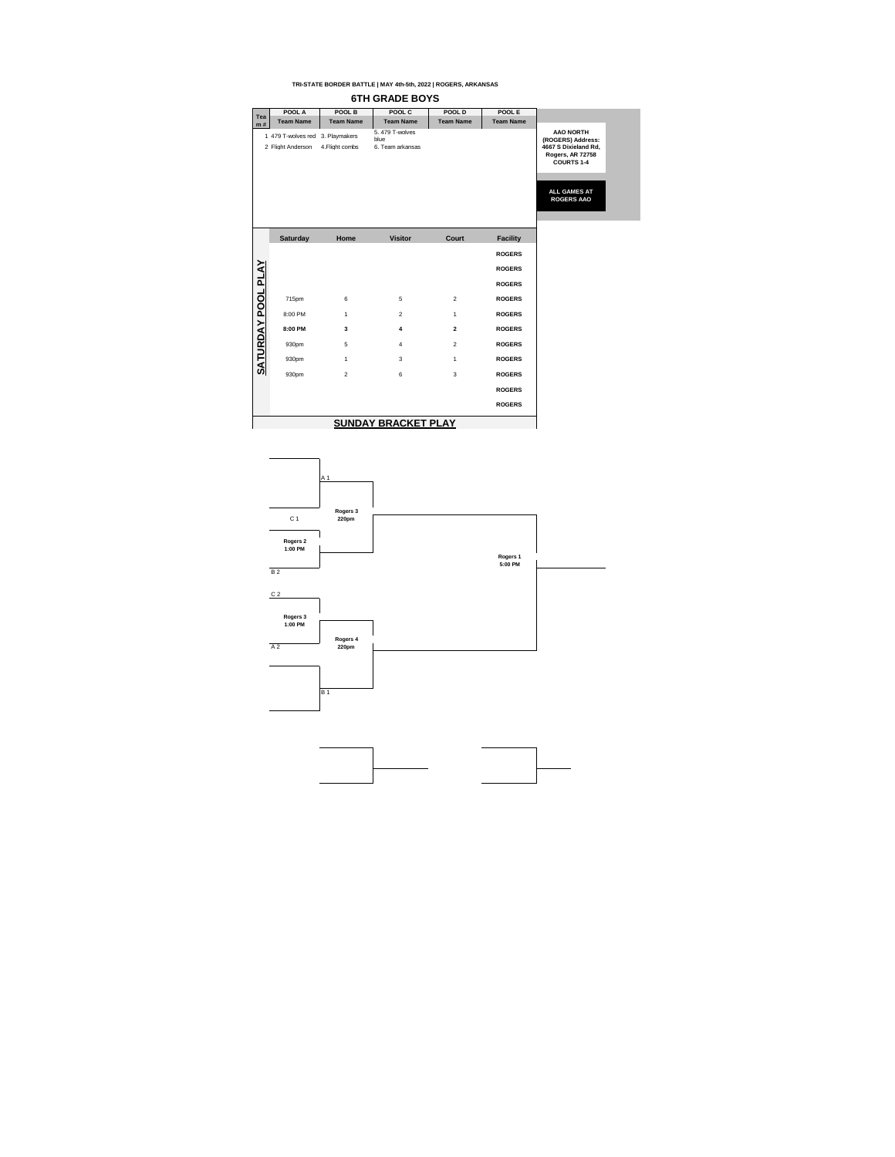|                    |                                                       |                  | TRI-STATE BORDER BATTLE   MAY 4th-5th, 2022   ROGERS, ARKANSAS<br><b>6TH GRADE BOYS</b> |                  |                  |                                                                                                                                                    |
|--------------------|-------------------------------------------------------|------------------|-----------------------------------------------------------------------------------------|------------------|------------------|----------------------------------------------------------------------------------------------------------------------------------------------------|
| Tea                | POOL A                                                | POOL B           | POOL C                                                                                  | POOL D           | POOL E           |                                                                                                                                                    |
| m#                 | <b>Team Name</b>                                      | <b>Team Name</b> | <b>Team Name</b>                                                                        | <b>Team Name</b> | <b>Team Name</b> |                                                                                                                                                    |
|                    | 1 479 T-wolves red 3. Playmakers<br>2 Flight Anderson | 4. Flight combs  | 5.479 T-wolves<br>blue<br>6. Team arkansas                                              |                  |                  | <b>AAO NORTH</b><br>(ROGERS) Address:<br>4667 S Dixieland Rd,<br><b>Rogers, AR 72758</b><br><b>COURTS 1-4</b><br>ALL GAMES AT<br><b>ROGERS AAO</b> |
|                    | Saturday                                              | Home             | <b>Visitor</b>                                                                          | Court            | <b>Facility</b>  |                                                                                                                                                    |
|                    |                                                       |                  |                                                                                         |                  | <b>ROGERS</b>    |                                                                                                                                                    |
|                    |                                                       |                  |                                                                                         |                  | <b>ROGERS</b>    |                                                                                                                                                    |
|                    |                                                       |                  |                                                                                         |                  | <b>ROGERS</b>    |                                                                                                                                                    |
|                    | 715pm                                                 | 6                | 5                                                                                       | $\overline{2}$   | <b>ROGERS</b>    |                                                                                                                                                    |
|                    | 8:00 PM                                               | $\mathbf{1}$     | $\overline{a}$                                                                          | $\mathbf{1}$     | <b>ROGERS</b>    |                                                                                                                                                    |
| SATURDAY POOL PLAY | 8:00 PM                                               | 3                | $\overline{\mathbf{4}}$                                                                 | $\overline{2}$   | <b>ROGERS</b>    |                                                                                                                                                    |
|                    | 930pm                                                 | 5                | $\overline{4}$                                                                          | $\overline{2}$   | <b>ROGERS</b>    |                                                                                                                                                    |
|                    | 930pm                                                 | $\mathbf{1}$     | 3                                                                                       | $\mathbf{1}$     | <b>ROGERS</b>    |                                                                                                                                                    |
|                    | 930pm                                                 | $\overline{2}$   | 6                                                                                       | 3                | <b>ROGERS</b>    |                                                                                                                                                    |
|                    |                                                       |                  |                                                                                         |                  | <b>ROGERS</b>    |                                                                                                                                                    |
|                    |                                                       |                  |                                                                                         |                  | <b>ROGERS</b>    |                                                                                                                                                    |
|                    |                                                       |                  | <b>SUNDAY BRACKET PLAY</b>                                                              |                  |                  |                                                                                                                                                    |

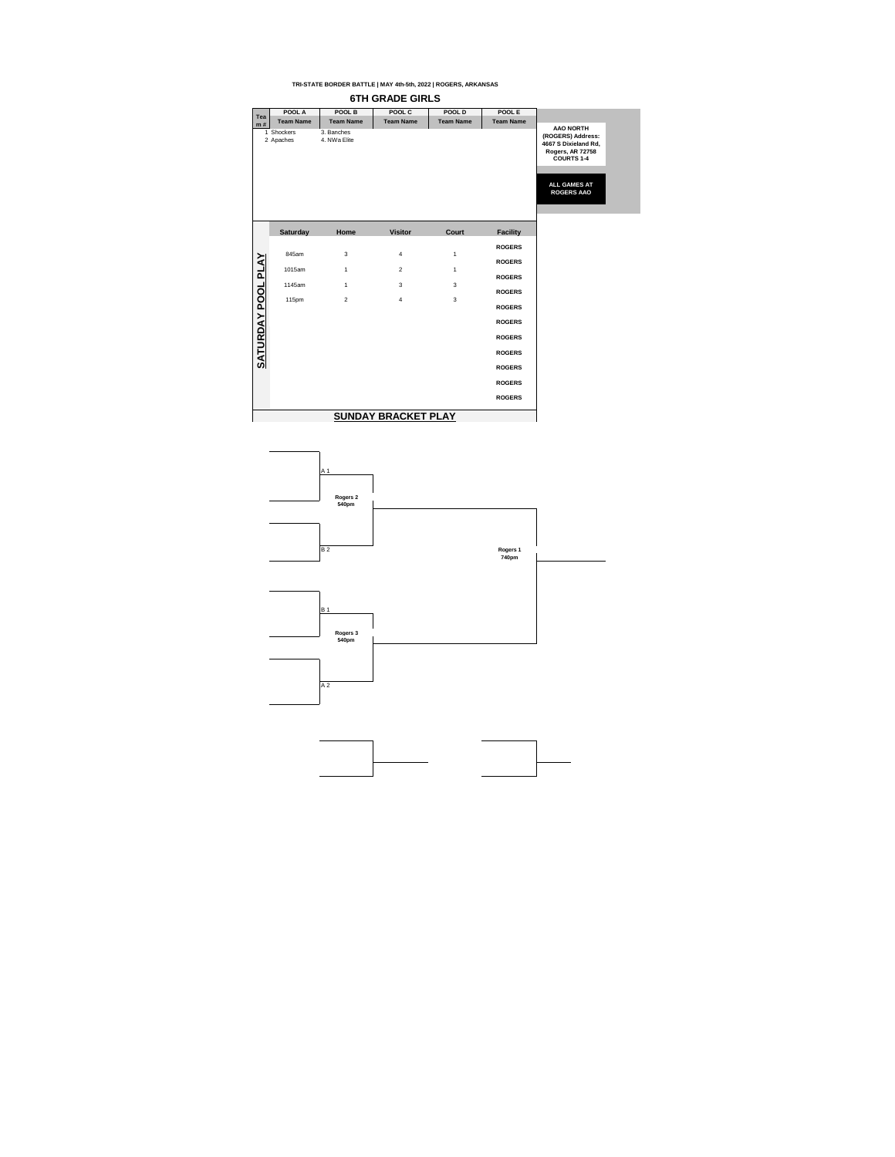**TRI-STATE BORDER BATTLE | MAY 4th-5th, 2022 | ROGERS, ARKANSAS 6TH GRADE GIRLS**

| Tea                | POOL A                  | POOL B                     | POOL C                     | POOL D           | POOL E           |                                                                                                               |
|--------------------|-------------------------|----------------------------|----------------------------|------------------|------------------|---------------------------------------------------------------------------------------------------------------|
| m#                 | <b>Team Name</b>        | <b>Team Name</b>           | <b>Team Name</b>           | <b>Team Name</b> | <b>Team Name</b> |                                                                                                               |
|                    | 1 Shockers<br>2 Apaches | 3. Banches<br>4. NWa Elite |                            |                  |                  | <b>AAO NORTH</b><br>(ROGERS) Address:<br>4667 S Dixieland Rd,<br><b>Rogers, AR 72758</b><br><b>COURTS 1-4</b> |
|                    |                         |                            |                            |                  |                  | ALL GAMES AT<br><b>ROGERS AAO</b>                                                                             |
|                    | Saturday                | Home                       | <b>Visitor</b>             | Court            | <b>Facility</b>  |                                                                                                               |
|                    |                         |                            |                            |                  | <b>ROGERS</b>    |                                                                                                               |
|                    | 845am                   | 3                          | $\overline{4}$             | $\mathbf{1}$     | <b>ROGERS</b>    |                                                                                                               |
|                    | 1015am                  | $\mathbf{1}$               | $\overline{2}$             | $\mathbf{1}$     | <b>ROGERS</b>    |                                                                                                               |
|                    | 1145am                  | $\mathbf{1}$               | 3                          | 3                |                  |                                                                                                               |
|                    | 115pm                   | $\boldsymbol{2}$           | $\overline{4}$             | 3                | <b>ROGERS</b>    |                                                                                                               |
|                    |                         |                            |                            |                  | <b>ROGERS</b>    |                                                                                                               |
|                    |                         |                            |                            |                  | <b>ROGERS</b>    |                                                                                                               |
|                    |                         |                            |                            |                  | <b>ROGERS</b>    |                                                                                                               |
| SATURDAY POOL PLAY |                         |                            |                            |                  | <b>ROGERS</b>    |                                                                                                               |
|                    |                         |                            |                            |                  | <b>ROGERS</b>    |                                                                                                               |
|                    |                         |                            |                            |                  | <b>ROGERS</b>    |                                                                                                               |
|                    |                         |                            |                            |                  | <b>ROGERS</b>    |                                                                                                               |
|                    |                         |                            | <b>SUNDAY BRACKET PLAY</b> |                  |                  |                                                                                                               |

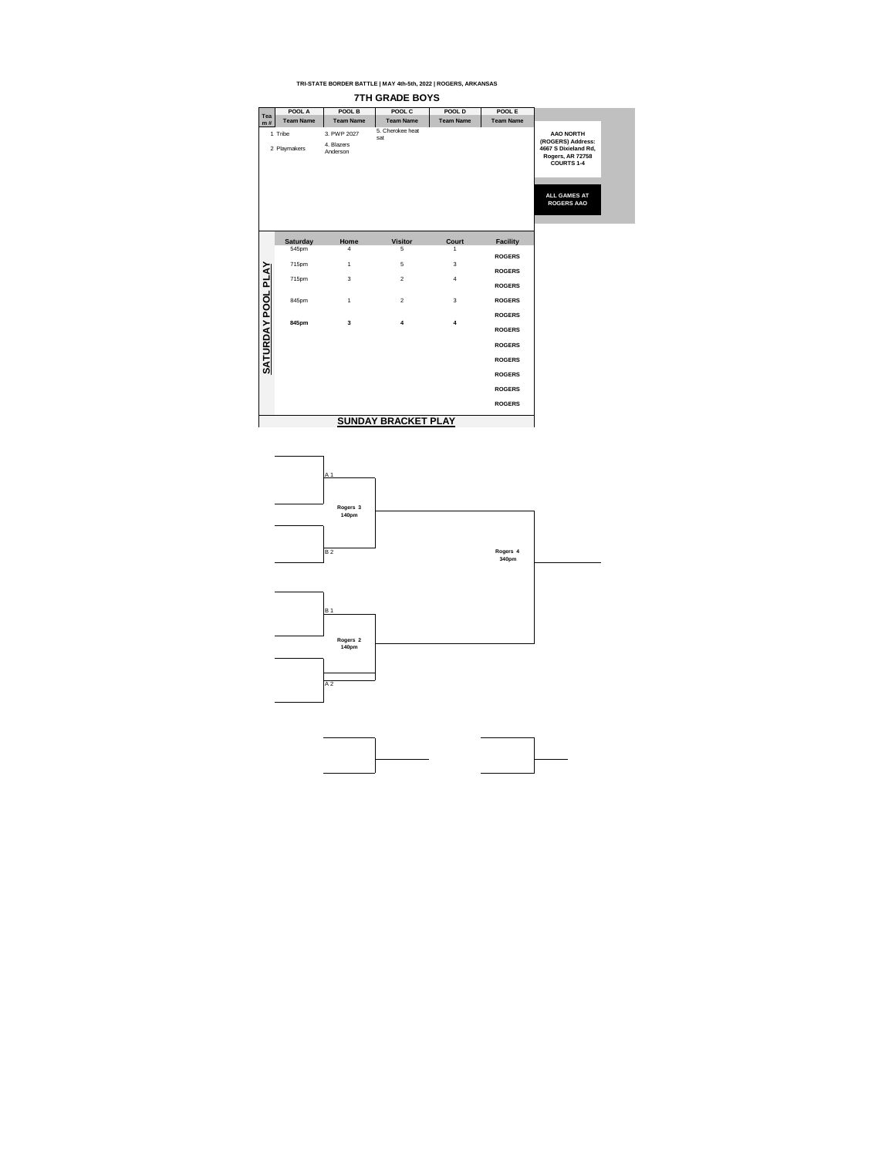|                           |                            |                                       | TRI-STATE BORDER BATTLE   MAY 4th-5th, 2022   ROGERS, ARKANSAS<br><b>7TH GRADE BOYS</b> |                            |                            |                                                                                                                                                    |
|---------------------------|----------------------------|---------------------------------------|-----------------------------------------------------------------------------------------|----------------------------|----------------------------|----------------------------------------------------------------------------------------------------------------------------------------------------|
|                           |                            |                                       |                                                                                         |                            |                            |                                                                                                                                                    |
| Tea<br>m#                 | POOL A<br><b>Team Name</b> | POOL B<br><b>Team Name</b>            | POOL C<br><b>Team Name</b>                                                              | POOL D<br><b>Team Name</b> | POOL E<br><b>Team Name</b> |                                                                                                                                                    |
|                           | 1 Tribe<br>2 Playmakers    | 3. PWP 2027<br>4. Blazers<br>Anderson | 5. Cherokee heat<br>sat                                                                 |                            |                            | <b>AAO NORTH</b><br>(ROGERS) Address:<br>4667 S Dixieland Rd,<br><b>Rogers, AR 72758</b><br><b>COURTS 1-4</b><br>ALL GAMES AT<br><b>ROGERS AAO</b> |
|                           | Saturday                   | Home                                  | <b>Visitor</b>                                                                          | Court                      | <b>Facility</b>            |                                                                                                                                                    |
|                           | 545pm                      | $\overline{4}$                        | 5                                                                                       | 1                          | <b>ROGERS</b>              |                                                                                                                                                    |
|                           | 715pm                      | $\mathbf{1}$                          | 5                                                                                       | 3                          | <b>ROGERS</b>              |                                                                                                                                                    |
| <b>SATURDAY POOL PLAY</b> | 715pm                      | $\mathbf{3}$                          | $\overline{2}$                                                                          | $\overline{4}$             | <b>ROGERS</b>              |                                                                                                                                                    |
|                           | 845pm                      | $\mathbf{1}$                          | $\overline{a}$                                                                          | 3                          | <b>ROGERS</b>              |                                                                                                                                                    |
|                           | 845pm                      | 3                                     | 4                                                                                       | 4                          | <b>ROGERS</b>              |                                                                                                                                                    |
|                           |                            |                                       |                                                                                         |                            | <b>ROGERS</b>              |                                                                                                                                                    |
|                           |                            |                                       |                                                                                         |                            | <b>ROGERS</b>              |                                                                                                                                                    |
|                           |                            |                                       |                                                                                         |                            | <b>ROGERS</b>              |                                                                                                                                                    |
|                           |                            |                                       |                                                                                         |                            | <b>ROGERS</b>              |                                                                                                                                                    |
|                           |                            |                                       |                                                                                         |                            | <b>ROGERS</b>              |                                                                                                                                                    |
|                           |                            |                                       |                                                                                         |                            | <b>ROGERS</b>              |                                                                                                                                                    |
|                           |                            |                                       | <b>SUNDAY BRACKET PLAY</b>                                                              |                            |                            |                                                                                                                                                    |

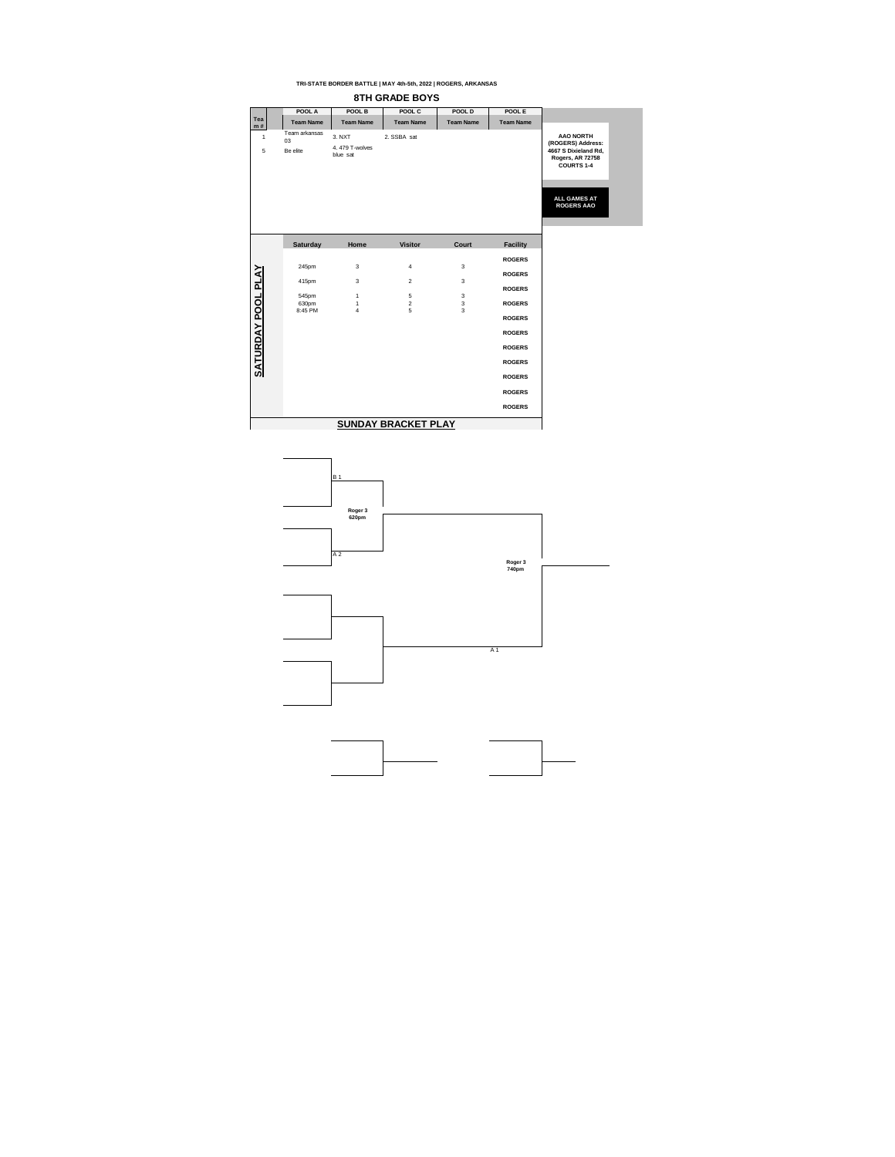**8TH GRADE BOYS Team Name Team Name POOL A POOL B POOL C POOL D POOL E Team Name Team Name Team Name Tea m #** Team arkansas<br>03 1 **AAO NORTH (ROGERS) Address: 4667 S Dixieland Rd, Rogers, AR 72758 COURTS 1-4** <sup>03</sup> 3. NXT 2. SSBA sat <sup>5</sup> Be elite 4. 479 T-wolves blue sat **ALL GAMES AT ROGERS AAO Saturday Home Visitor Court FacilityROGERS** 245pm 3 4 3 **SATURDAY POOL PLAY SATURDAY POOL PLAY ROGERS** 415pm 3 2 3 **ROGERS** 806ERS<br>1 2 3 ROGERS<br>4 5 3 545pm 1 5 3 8:45 PM 4 5 3 **ROGERS ROGERS ROGERS ROGERS ROGERS ROGERS ROGERS SUNDAY BRACKET PLAY**

**TRI-STATE BORDER BATTLE | MAY 4th-5th, 2022 | ROGERS, ARKANSAS**

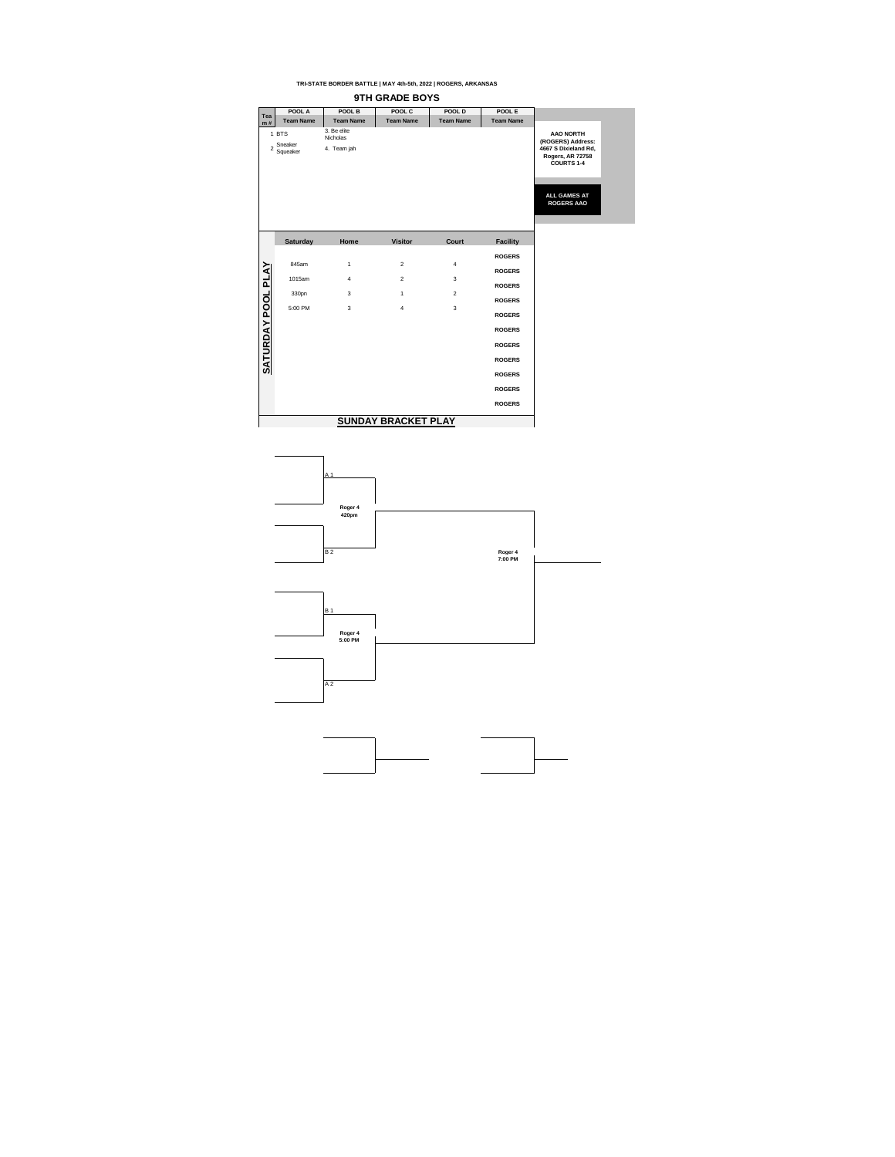

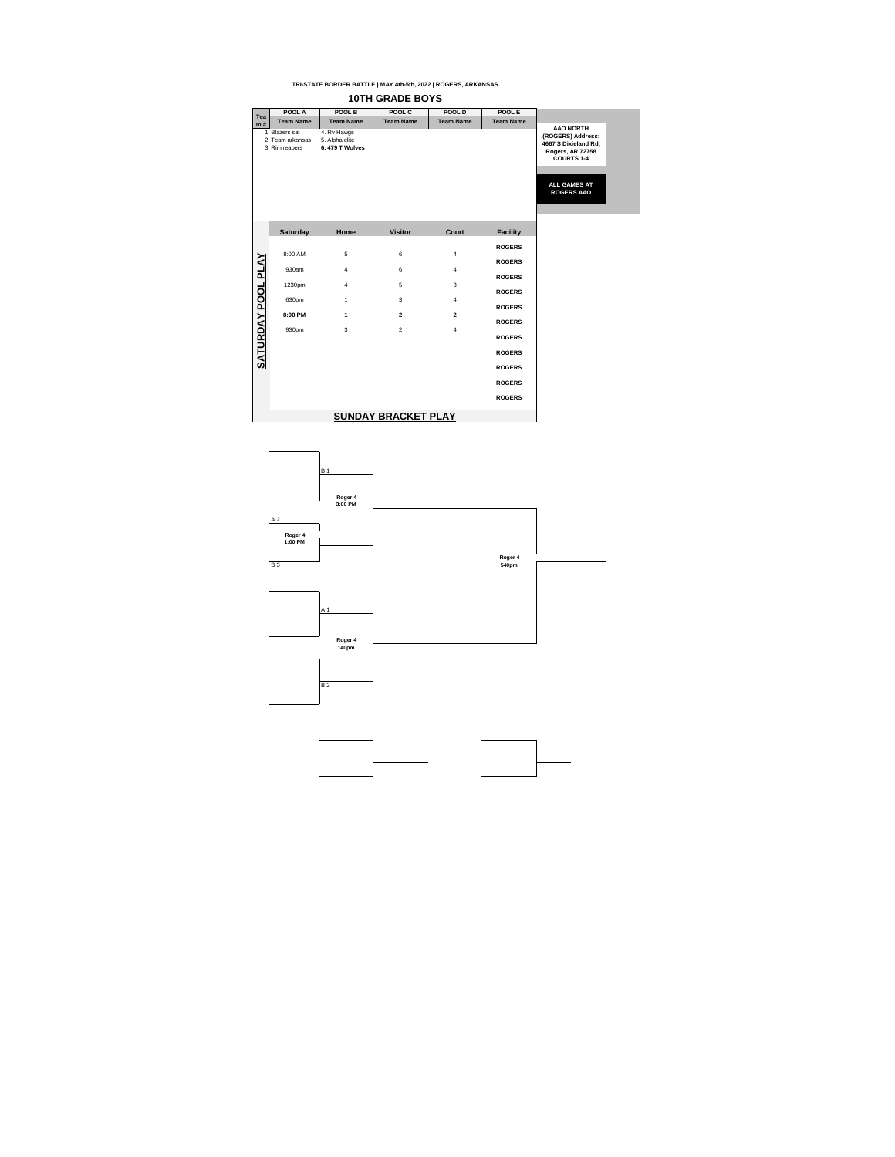**TRI-STATE BORDER BATTLE | MAY 4th-5th, 2022 | ROGERS, ARKANSAS 10TH GRADE BOYS**

|                    |                                                   |                                                 | IVIN UNAVE DUTJ            |                  |                  |
|--------------------|---------------------------------------------------|-------------------------------------------------|----------------------------|------------------|------------------|
| Tea                | POOL A                                            | POOL B                                          | POOL C                     | POOL D           | POOL E           |
| m#                 | <b>Team Name</b>                                  | <b>Team Name</b>                                | <b>Team Name</b>           | <b>Team Name</b> | <b>Team Name</b> |
|                    | 1 Blazers sat<br>2 Team arkansas<br>3 Rim reapers | 4. Rv Hawgs<br>5. Alpha elite<br>6.479 T Wolves |                            |                  |                  |
|                    | Saturday                                          | Home                                            | <b>Visitor</b>             | Court            | <b>Facility</b>  |
|                    |                                                   |                                                 |                            |                  | <b>ROGERS</b>    |
|                    | 8:00 AM                                           | 5                                               | 6                          | 4                | <b>ROGERS</b>    |
|                    | 930am                                             | $\overline{4}$                                  | 6                          | 4                | <b>ROGERS</b>    |
|                    | 1230pm                                            | $\overline{4}$                                  | 5                          | 3                |                  |
|                    | 630pm                                             | 1                                               | 3                          | 4                | <b>ROGERS</b>    |
|                    | 8:00 PM                                           | 1                                               | $\overline{2}$             | $\overline{2}$   | <b>ROGERS</b>    |
|                    | 930pm                                             | 3                                               | $\overline{2}$             | 4                | <b>ROGERS</b>    |
|                    |                                                   |                                                 |                            |                  | <b>ROGERS</b>    |
| SATURDAY POOL PLAY |                                                   |                                                 |                            |                  | <b>ROGERS</b>    |
|                    |                                                   |                                                 |                            |                  | <b>ROGERS</b>    |
|                    |                                                   |                                                 |                            |                  | <b>ROGERS</b>    |
|                    |                                                   |                                                 |                            |                  | <b>ROGERS</b>    |
|                    |                                                   |                                                 | <b>SUNDAY BRACKET PLAY</b> |                  |                  |

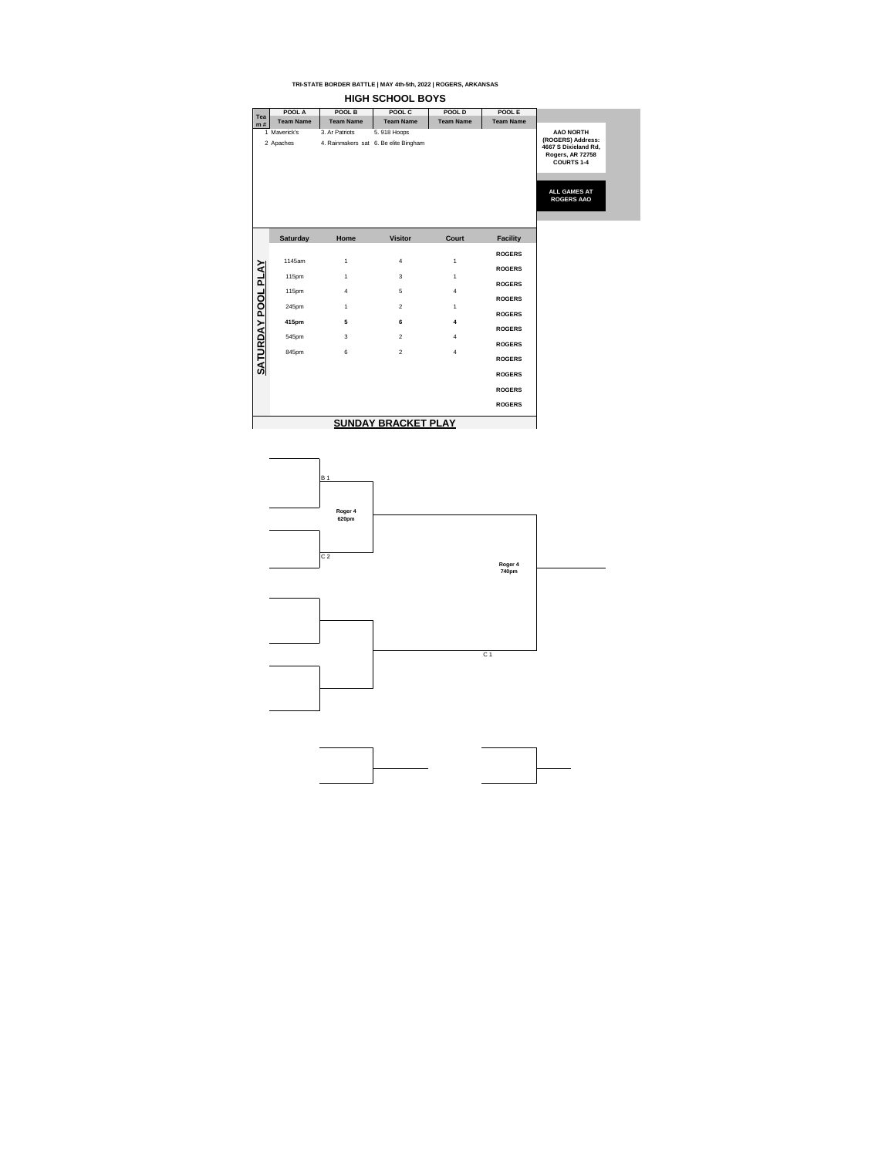## **TRI-STATE BORDER BATTLE | MAY 4th-5th, 2022 | ROGERS, ARKANSAS HIGH SCHOOL BOYS**

|                           |                           | .                | ---                                                   |                  |                  |
|---------------------------|---------------------------|------------------|-------------------------------------------------------|------------------|------------------|
| Tea                       | POOL A                    | POOL B           | POOL C                                                | POOL D           | POOL E           |
| m#                        | <b>Team Name</b>          | <b>Team Name</b> | <b>Team Name</b>                                      | <b>Team Name</b> | <b>Team Name</b> |
|                           | 1 Maverick's<br>2 Apaches | 3. Ar Patriots   | 5, 918 Hoops<br>4. Rainmakers sat 6. Be elite Bingham |                  |                  |
|                           |                           |                  |                                                       |                  |                  |
|                           | Saturday                  | Home             | <b>Visitor</b>                                        | Court            | <b>Facility</b>  |
|                           |                           |                  |                                                       |                  | <b>ROGERS</b>    |
|                           | 1145am                    | 1                | $\overline{4}$                                        | 1                | <b>ROGERS</b>    |
|                           | 115pm                     | 1                | 3                                                     | $\mathbf{1}$     |                  |
|                           | 115pm                     | 4                | 5                                                     | $\overline{4}$   | <b>ROGERS</b>    |
|                           | 245pm                     | 1                | $\overline{2}$                                        | $\mathbf{1}$     | <b>ROGERS</b>    |
|                           |                           |                  |                                                       |                  | <b>ROGERS</b>    |
|                           | 415pm                     | 5                | 6                                                     | 4                | <b>ROGERS</b>    |
| <b>SATURDAY POOL PLAY</b> | 545pm                     | 3                | $\overline{2}$                                        | 4                |                  |
|                           | 845pm                     | 6                | $\overline{2}$                                        | 4                | <b>ROGERS</b>    |
|                           |                           |                  |                                                       |                  | <b>ROGERS</b>    |
|                           |                           |                  |                                                       |                  | <b>ROGERS</b>    |
|                           |                           |                  |                                                       |                  | <b>ROGERS</b>    |
|                           |                           |                  |                                                       |                  | <b>ROGERS</b>    |
|                           |                           |                  | <b>SUNDAY BRACKET PLAY</b>                            |                  |                  |